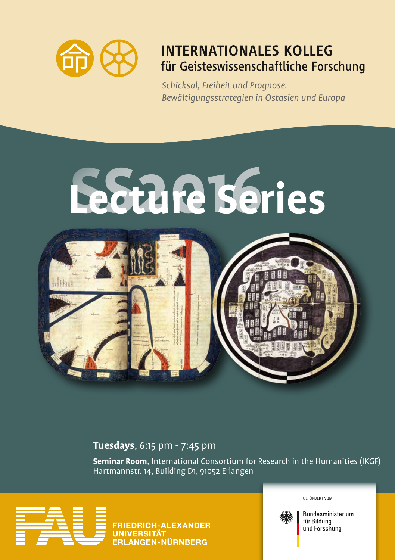

## **INTERNATIONALES KOLLEG** für Geisteswissenschaftliche Forschung

*Schicksal, Freiheit und Prognose. Bewältigungsstrategien in Ostasien und Europa*



**Tuesdays**, 6:15 pm - 7:45 pm

**Seminar Room**, International Consortium for Research in the Humanities (IKGF) Hartmannstr. 14, Building D1, 91052 Erlangen



GEFÖRDERT VOM

Bundesministerium für Bildung und Forschung